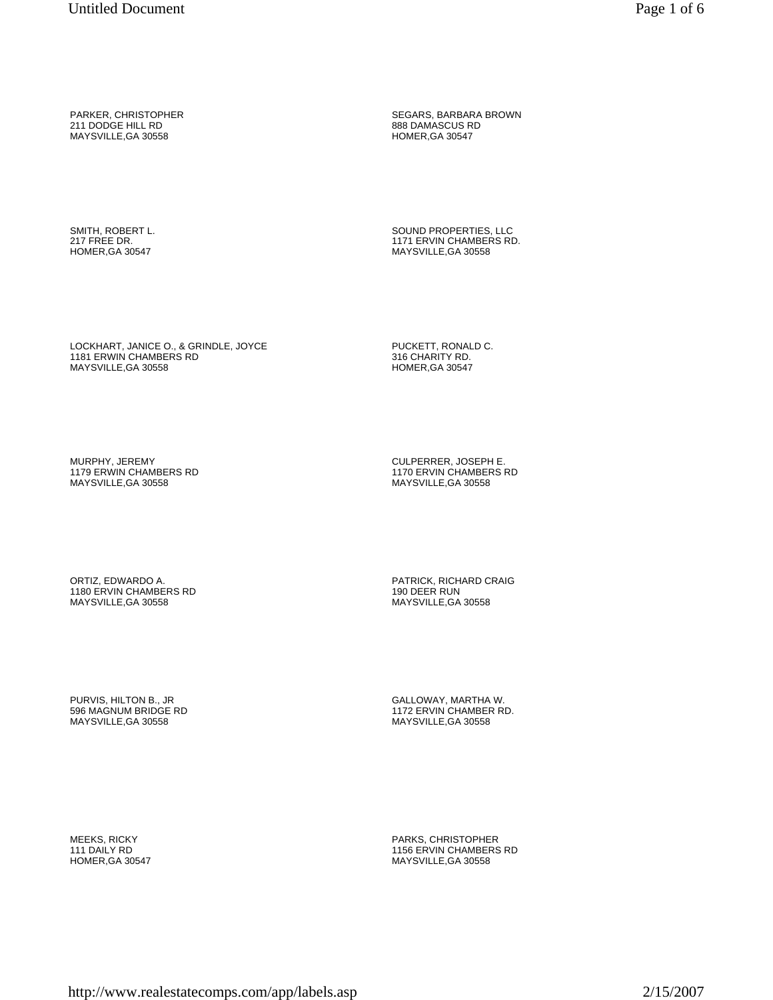PARKER, CHRISTOPHER 211 DODGE HILL RD MAYSVILLE,GA 30558

SEGARS, BARBARA BROWN 888 DAMASCUS RD HOMER,GA 30547

SMITH, ROBERT L. 217 FREE DR. HOMER,GA 30547

SOUND PROPERTIES, LLC 1171 ERVIN CHAMBERS RD. MAYSVILLE,GA 30558

LOCKHART, JANICE O., & GRINDLE, JOYCE 1181 ERWIN CHAMBERS RD MAYSVILLE,GA 30558

PUCKETT, RONALD C. 316 CHARITY RD. HOMER,GA 30547

MURPHY, JEREMY 1179 ERWIN CHAMBERS RD MAYSVILLE,GA 30558

CULPERRER, JOSEPH E. 1170 ERVIN CHAMBERS RD MAYSVILLE,GA 30558

ORTIZ, EDWARDO A. 1180 ERVIN CHAMBERS RD MAYSVILLE,GA 30558

PATRICK, RICHARD CRAIG 190 DEER RUN MAYSVILLE,GA 30558

GALLOWAY, MARTHA W. 1172 ERVIN CHAMBER RD. MAYSVILLE,GA 30558

PURVIS, HILTON B., JR 596 MAGNUM BRIDGE RD MAYSVILLE,GA 30558

MEEKS, RICKY 111 DAILY RD HOMER,GA 30547 PARKS, CHRISTOPHER 1156 ERVIN CHAMBERS RD MAYSVILLE,GA 30558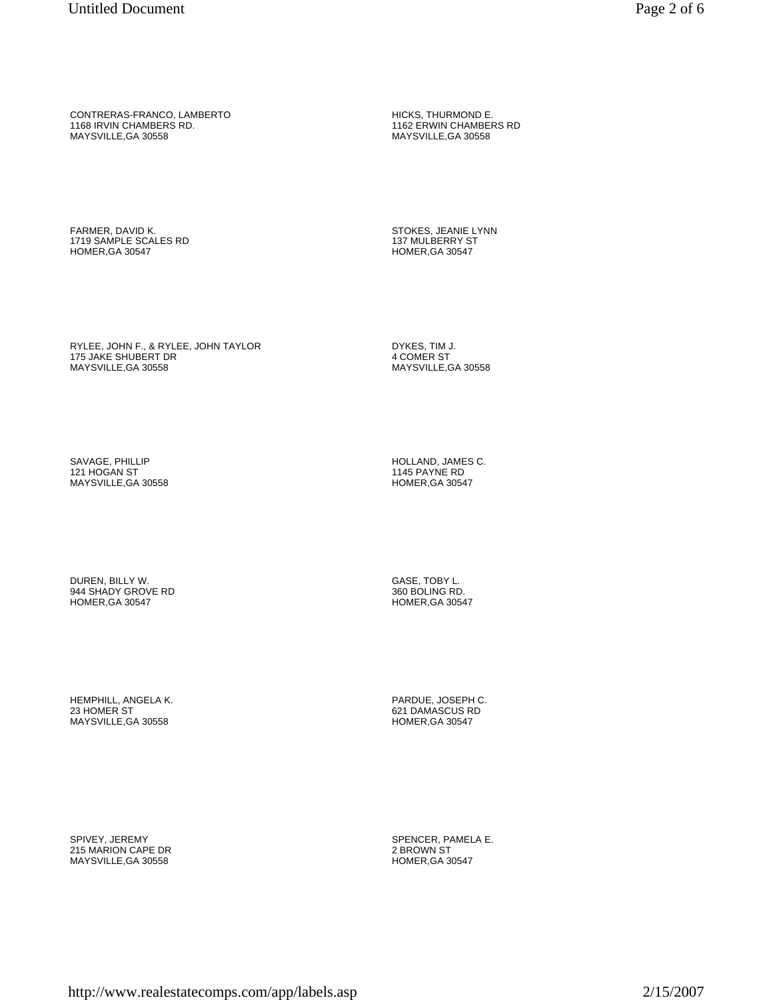CONTRERAS-FRANCO, LAMBERTO 1168 IRVIN CHAMBERS RD. MAYSVILLE,GA 30558

HICKS, THURMOND E. 1162 ERWIN CHAMBERS RD MAYSVILLE,GA 30558

FARMER, DAVID K. 1719 SAMPLE SCALES RD HOMER,GA 30547

STOKES, JEANIE LYNN 137 MULBERRY ST HOMER,GA 30547

RYLEE, JOHN F., & RYLEE, JOHN TAYLOR 175 JAKE SHUBERT DR MAYSVILLE,GA 30558

DYKES, TIM J. 4 COMER ST MAYSVILLE,GA 30558

SAVAGE, PHILLIP 121 HOGAN ST MAYSVILLE,GA 30558 HOLLAND, JAMES C. 1145 PAYNE RD HOMER,GA 30547

DUREN, BILLY W. 944 SHADY GROVE RD HOMER,GA 30547

HEMPHILL, ANGELA K. 23 HOMER ST MAYSVILLE,GA 30558

SPIVEY, JEREMY 215 MARION CAPE DR MAYSVILLE,GA 30558

GASE, TOBY L. 360 BOLING RD. HOMER,GA 30547

PARDUE, JOSEPH C. 621 DAMASCUS RD HOMER,GA 30547

SPENCER, PAMELA E. 2 BROWN ST HOMER,GA 30547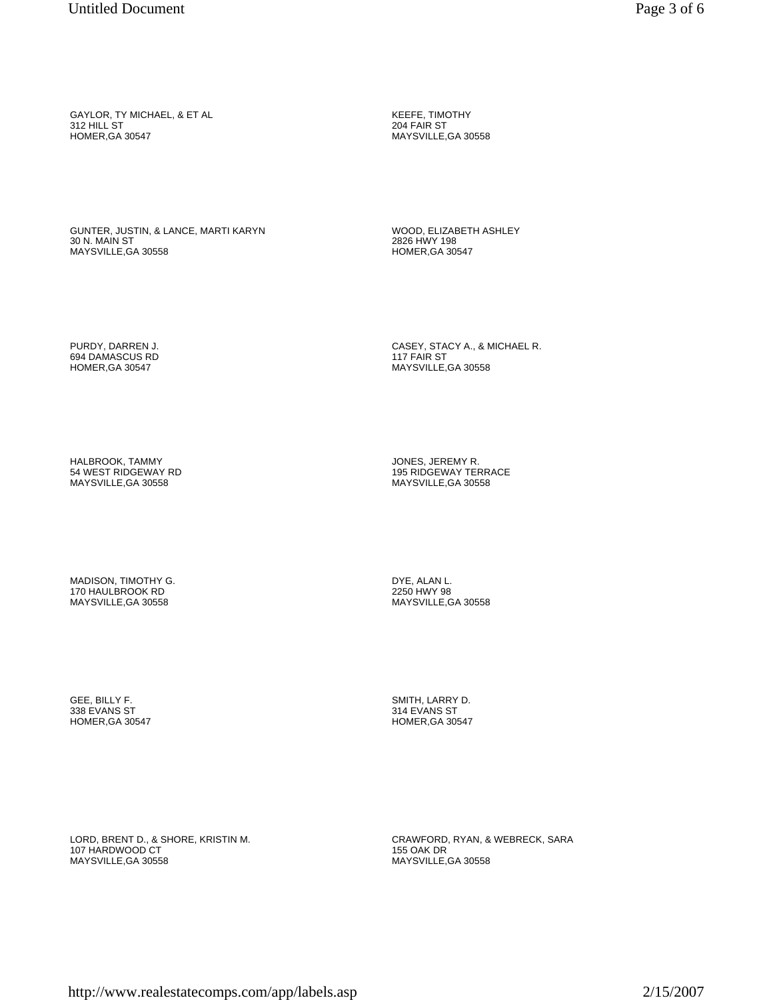GUNTER, JUSTIN, & LANCE, MARTI KARYN 30 N. MAIN ST MAYSVILLE,GA 30558

WOOD, ELIZABETH ASHLEY 2826 HWY 198 HOMER,GA 30547

CASEY, STACY A., & MICHAEL R.

117 FAIR ST MAYSVILLE,GA 30558

KEEFE, TIMOTHY 204 FAIR ST MAYSVILLE,GA 30558

PURDY, DARREN J. 694 DAMASCUS RD HOMER,GA 30547

HALBROOK, TAMMY 54 WEST RIDGEWAY RD MAYSVILLE,GA 30558

MADISON, TIMOTHY G. 170 HAULBROOK RD MAYSVILLE,GA 30558

GEE, BILLY F. 338 EVANS ST HOMER,GA 30547 JONES, JEREMY R. 195 RIDGEWAY TERRACE MAYSVILLE,GA 30558

DYE, ALAN L. 2250 HWY 98 MAYSVILLE,GA 30558

SMITH, LARRY D. 314 EVANS ST HOMER,GA 30547

LORD, BRENT D., & SHORE, KRISTIN M. 107 HARDWOOD CT MAYSVILLE,GA 30558

CRAWFORD, RYAN, & WEBRECK, SARA 155 OAK DR MAYSVILLE,GA 30558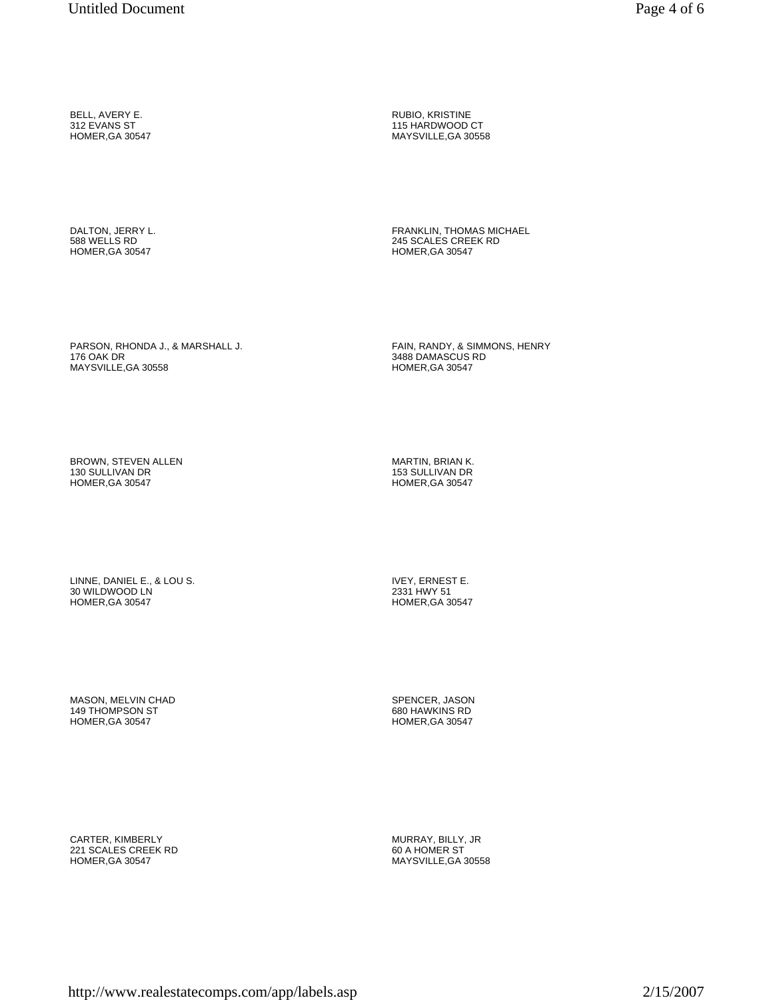BELL, AVERY E. 312 EVANS ST HOMER,GA 30547

DALTON, JERRY L. 588 WELLS RD HOMER,GA 30547

RUBIO, KRISTINE 115 HARDWOOD CT MAYSVILLE,GA 30558

FRANKLIN, THOMAS MICHAEL 245 SCALES CREEK RD HOMER,GA 30547

PARSON, RHONDA J., & MARSHALL J. 176 OAK DR MAYSVILLE,GA 30558

FAIN, RANDY, & SIMMONS, HENRY 3488 DAMASCUS RD HOMER,GA 30547

BROWN, STEVEN ALLEN 130 SULLIVAN DR HOMER,GA 30547

MARTIN, BRIAN K. 153 SULLIVAN DR HOMER,GA 30547

LINNE, DANIEL E., & LOU S. 30 WILDWOOD LN HOMER,GA 30547

MASON, MELVIN CHAD 149 THOMPSON ST HOMER,GA 30547

CARTER, KIMBERLY 221 SCALES CREEK RD HOMER,GA 30547

IVEY, ERNEST E. 2331 HWY 51 HOMER,GA 30547

SPENCER, JASON 680 HAWKINS RD HOMER,GA 30547

MURRAY, BILLY, JR 60 A HOMER ST MAYSVILLE,GA 30558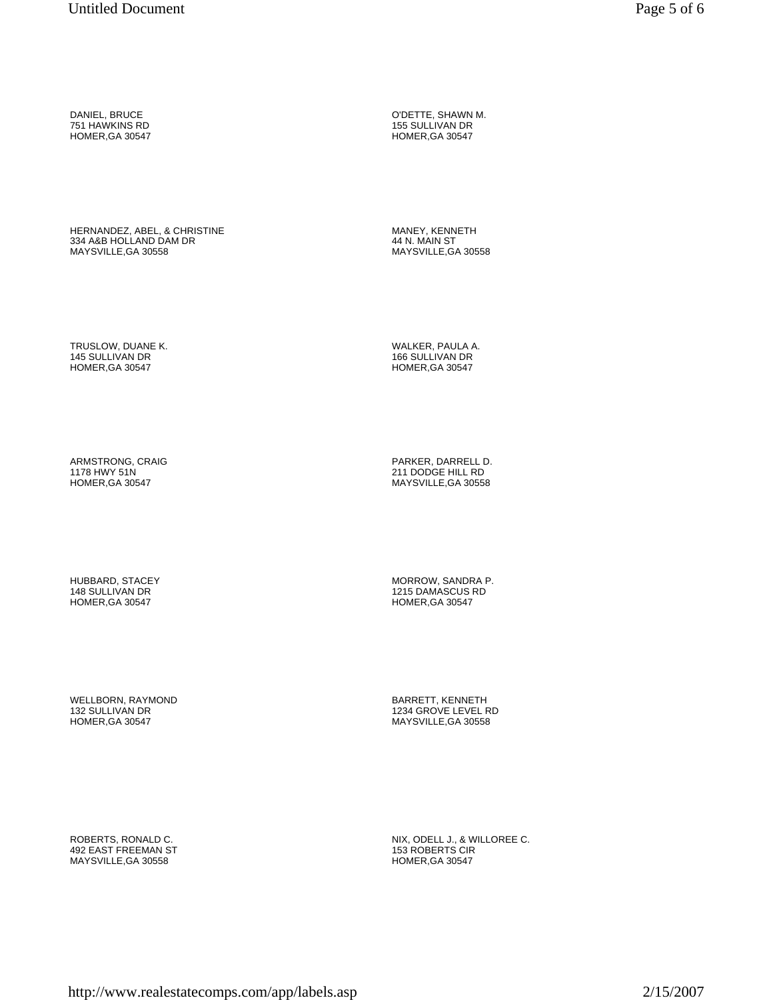HERNANDEZ, ABEL, & CHRISTINE 334 A&B HOLLAND DAM DR MAYSVILLE,GA 30558

O'DETTE, SHAWN M. 155 SULLIVAN DR HOMER,GA 30547

MANEY, KENNETH 44 N. MAIN ST MAYSVILLE,GA 30558

WALKER, PAULA A. 166 SULLIVAN DR HOMER,GA 30547

TRUSLOW, DUANE K. 145 SULLIVAN DR HOMER,GA 30547

ARMSTRONG, CRAIG 1178 HWY 51N HOMER,GA 30547

HUBBARD, STACEY 148 SULLIVAN DR HOMER,GA 30547

WELLBORN, RAYMOND 132 SULLIVAN DR HOMER,GA 30547

ROBERTS, RONALD C. 492 EAST FREEMAN ST MAYSVILLE,GA 30558

PARKER, DARRELL D. 211 DODGE HILL RD MAYSVILLE,GA 30558

MORROW, SANDRA P. 1215 DAMASCUS RD HOMER,GA 30547

BARRETT, KENNETH 1234 GROVE LEVEL RD MAYSVILLE,GA 30558

NIX, ODELL J., & WILLOREE C. 153 ROBERTS CIR HOMER,GA 30547